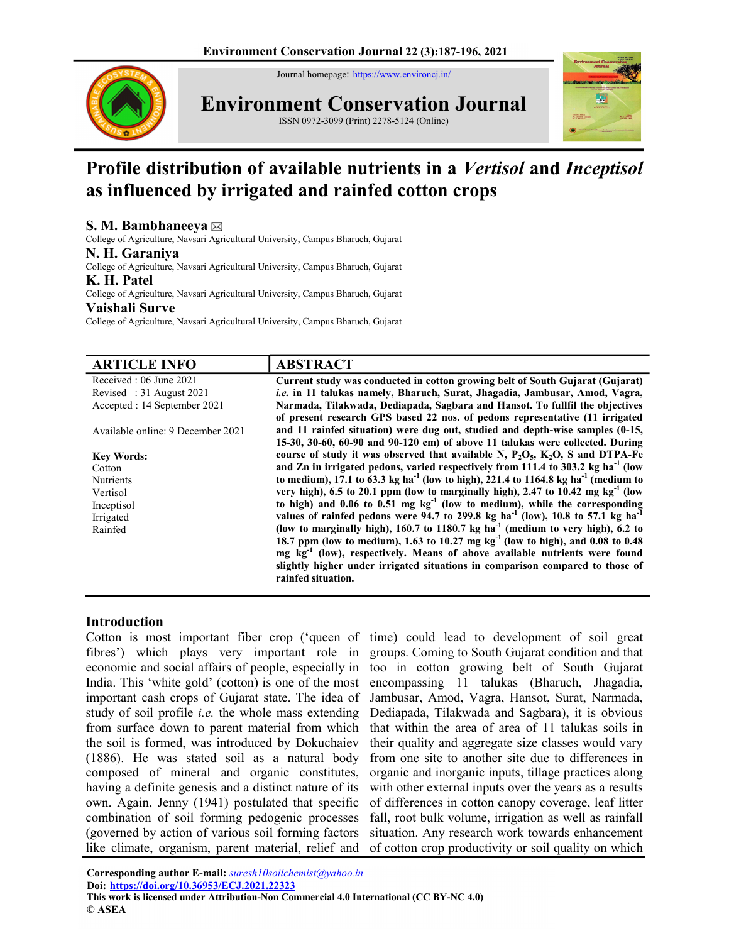Journal homepage: https://www.environcj.in/



Environment Conservation Journal





# Profile distribution of available nutrients in a Vertisol and Inceptisol as influenced by irrigated and rainfed cotton crops

# S. M. Bambhaneeya

College of Agriculture, Navsari Agricultural University, Campus Bharuch, Gujarat

#### N. H. Garaniya

College of Agriculture, Navsari Agricultural University, Campus Bharuch, Gujarat

#### K. H. Patel

College of Agriculture, Navsari Agricultural University, Campus Bharuch, Gujarat Vaishali Surve

College of Agriculture, Navsari Agricultural University, Campus Bharuch, Gujarat

| <b>ABSTRACT</b>                                                                                            |
|------------------------------------------------------------------------------------------------------------|
| Current study was conducted in cotton growing belt of South Gujarat (Gujarat)                              |
| i.e. in 11 talukas namely, Bharuch, Surat, Jhagadia, Jambusar, Amod, Vagra,                                |
| Narmada, Tilakwada, Dediapada, Sagbara and Hansot. To fullfil the objectives                               |
| of present research GPS based 22 nos. of pedons representative (11 irrigated                               |
| and 11 rainfed situation) were dug out, studied and depth-wise samples (0-15,                              |
| 15-30, 30-60, 60-90 and 90-120 cm) of above 11 talukas were collected. During                              |
| course of study it was observed that available N, $P_2O_5$ , $K_2O$ , S and DTPA-Fe                        |
| and Zn in irrigated pedons, varied respectively from 111.4 to 303.2 kg ha <sup>-1</sup> (low               |
| to medium), 17.1 to 63.3 kg ha <sup>-1</sup> (low to high), 221.4 to 1164.8 kg ha <sup>-1</sup> (medium to |
| very high), 6.5 to 20.1 ppm (low to marginally high), 2.47 to 10.42 mg $kg^{-1}$ (low                      |
| to high) and $0.06$ to $0.51$ mg $kg^{-1}$ (low to medium), while the corresponding                        |
| values of rainfed pedons were 94.7 to 299.8 kg ha <sup>-1</sup> (low), 10.8 to 57.1 kg ha <sup>-1</sup>    |
| (low to marginally high), 160.7 to 1180.7 kg ha <sup>-1</sup> (medium to very high), 6.2 to                |
| 18.7 ppm (low to medium), 1.63 to 10.27 mg $kg^{-1}$ (low to high), and 0.08 to 0.48                       |
| mg kg <sup>-1</sup> (low), respectively. Means of above available nutrients were found                     |
| slightly higher under irrigated situations in comparison compared to those of                              |
| rainfed situation.                                                                                         |
|                                                                                                            |

# Introduction

Cotton is most important fiber crop ('queen of time) could lead to development of soil great fibres') which plays very important role in economic and social affairs of people, especially in India. This 'white gold' (cotton) is one of the most important cash crops of Gujarat state. The idea of study of soil profile *i.e.* the whole mass extending from surface down to parent material from which the soil is formed, was introduced by Dokuchaiev (1886). He was stated soil as a natural body composed of mineral and organic constitutes, having a definite genesis and a distinct nature of its own. Again, Jenny (1941) postulated that specific combination of soil forming pedogenic processes (governed by action of various soil forming factors like climate, organism, parent material, relief and

groups. Coming to South Gujarat condition and that too in cotton growing belt of South Gujarat encompassing 11 talukas (Bharuch, Jhagadia, Jambusar, Amod, Vagra, Hansot, Surat, Narmada, Dediapada, Tilakwada and Sagbara), it is obvious that within the area of area of 11 talukas soils in their quality and aggregate size classes would vary from one site to another site due to differences in organic and inorganic inputs, tillage practices along with other external inputs over the years as a results of differences in cotton canopy coverage, leaf litter fall, root bulk volume, irrigation as well as rainfall situation. Any research work towards enhancement of cotton crop productivity or soil quality on which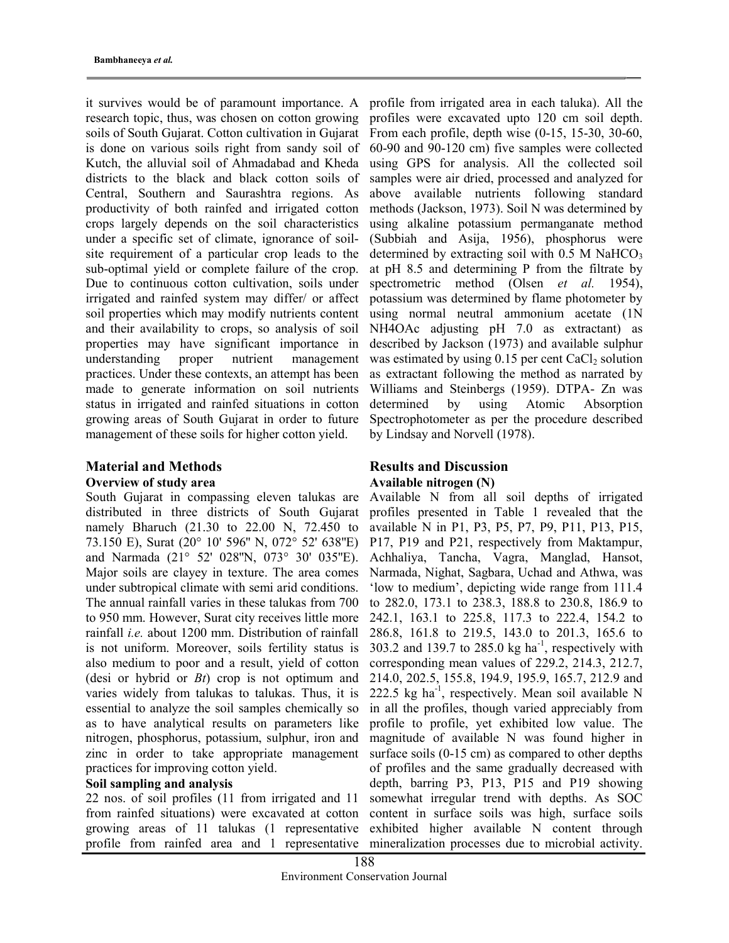it survives would be of paramount importance. A research topic, thus, was chosen on cotton growing soils of South Gujarat. Cotton cultivation in Gujarat is done on various soils right from sandy soil of Kutch, the alluvial soil of Ahmadabad and Kheda districts to the black and black cotton soils of Central, Southern and Saurashtra regions. As productivity of both rainfed and irrigated cotton crops largely depends on the soil characteristics under a specific set of climate, ignorance of soilsite requirement of a particular crop leads to the sub-optimal yield or complete failure of the crop. Due to continuous cotton cultivation, soils under irrigated and rainfed system may differ/ or affect soil properties which may modify nutrients content and their availability to crops, so analysis of soil properties may have significant importance in understanding proper nutrient management practices. Under these contexts, an attempt has been made to generate information on soil nutrients status in irrigated and rainfed situations in cotton growing areas of South Gujarat in order to future management of these soils for higher cotton yield.

# Material and Methods Overview of study area

South Gujarat in compassing eleven talukas are distributed in three districts of South Gujarat namely Bharuch (21.30 to 22.00 N, 72.450 to 73.150 E), Surat (20° 10' 596'' N, 072° 52' 638''E) and Narmada (21° 52' 028''N, 073° 30' 035''E). Major soils are clayey in texture. The area comes under subtropical climate with semi arid conditions. The annual rainfall varies in these talukas from 700 to 950 mm. However, Surat city receives little more rainfall i.e. about 1200 mm. Distribution of rainfall is not uniform. Moreover, soils fertility status is also medium to poor and a result, yield of cotton (desi or hybrid or  $B_t$ ) crop is not optimum and varies widely from talukas to talukas. Thus, it is essential to analyze the soil samples chemically so as to have analytical results on parameters like nitrogen, phosphorus, potassium, sulphur, iron and zinc in order to take appropriate management practices for improving cotton yield.

# Soil sampling and analysis

22 nos. of soil profiles (11 from irrigated and 11 from rainfed situations) were excavated at cotton growing areas of 11 talukas (1 representative profile from rainfed area and 1 representative

profile from irrigated area in each taluka). All the profiles were excavated upto 120 cm soil depth. From each profile, depth wise (0-15, 15-30, 30-60, 60-90 and 90-120 cm) five samples were collected using GPS for analysis. All the collected soil samples were air dried, processed and analyzed for above available nutrients following standard methods (Jackson, 1973). Soil N was determined by using alkaline potassium permanganate method (Subbiah and Asija, 1956), phosphorus were determined by extracting soil with  $0.5$  M NaHCO<sub>3</sub> at pH 8.5 and determining P from the filtrate by spectrometric method (Olsen *et al.* 1954), potassium was determined by flame photometer by using normal neutral ammonium acetate (1N NH4OAc adjusting pH 7.0 as extractant) as described by Jackson (1973) and available sulphur was estimated by using  $0.15$  per cent CaCl<sub>2</sub> solution as extractant following the method as narrated by Williams and Steinbergs (1959). DTPA- Zn was determined by using Atomic Absorption Spectrophotometer as per the procedure described by Lindsay and Norvell (1978).

# Results and Discussion Available nitrogen (N)

Available N from all soil depths of irrigated profiles presented in Table 1 revealed that the available N in P1, P3, P5, P7, P9, P11, P13, P15, P17, P19 and P21, respectively from Maktampur, Achhaliya, Tancha, Vagra, Manglad, Hansot, Narmada, Nighat, Sagbara, Uchad and Athwa, was 'low to medium', depicting wide range from 111.4 to 282.0, 173.1 to 238.3, 188.8 to 230.8, 186.9 to 242.1, 163.1 to 225.8, 117.3 to 222.4, 154.2 to 286.8, 161.8 to 219.5, 143.0 to 201.3, 165.6 to 303.2 and 139.7 to 285.0 kg ha<sup>-1</sup>, respectively with corresponding mean values of 229.2, 214.3, 212.7, 214.0, 202.5, 155.8, 194.9, 195.9, 165.7, 212.9 and 222.5 kg ha<sup>-1</sup>, respectively. Mean soil available N in all the profiles, though varied appreciably from profile to profile, yet exhibited low value. The magnitude of available N was found higher in surface soils (0-15 cm) as compared to other depths of profiles and the same gradually decreased with depth, barring P3, P13, P15 and P19 showing somewhat irregular trend with depths. As SOC content in surface soils was high, surface soils exhibited higher available N content through mineralization processes due to microbial activity.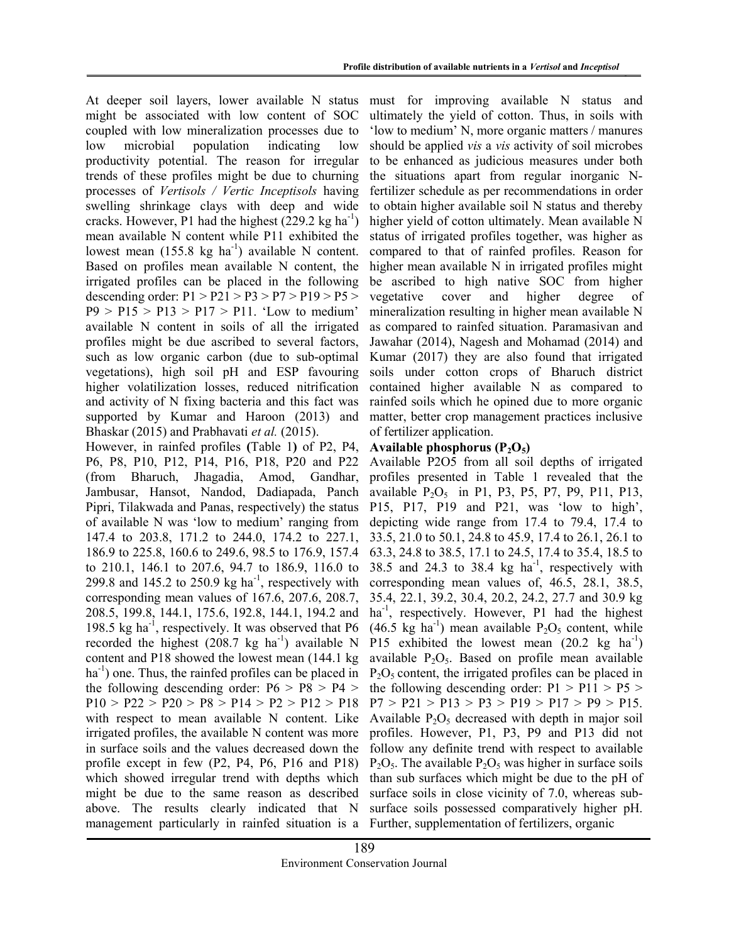At deeper soil layers, lower available N status might be associated with low content of SOC coupled with low mineralization processes due to low microbial population indicating low productivity potential. The reason for irregular trends of these profiles might be due to churning processes of Vertisols / Vertic Inceptisols having swelling shrinkage clays with deep and wide cracks. However, P1 had the highest  $(229.2 \text{ kg ha}^{-1})$ mean available N content while P11 exhibited the lowest mean  $(155.8 \text{ kg ha}^{-1})$  available N content. Based on profiles mean available N content, the irrigated profiles can be placed in the following descending order:  $P1 > P21 > P3 > P7 > P19 > P5 >$  $P9 > P15 > P13 > P17 > P11$ . 'Low to medium' available N content in soils of all the irrigated profiles might be due ascribed to several factors, such as low organic carbon (due to sub-optimal vegetations), high soil pH and ESP favouring higher volatilization losses, reduced nitrification and activity of N fixing bacteria and this fact was supported by Kumar and Haroon (2013) and Bhaskar (2015) and Prabhavati et al. (2015).

However, in rainfed profiles (Table 1) of P2, P4, P6, P8, P10, P12, P14, P16, P18, P20 and P22 (from Bharuch, Jhagadia, Amod, Gandhar, Jambusar, Hansot, Nandod, Dadiapada, Panch Pipri, Tilakwada and Panas, respectively) the status of available N was 'low to medium' ranging from 147.4 to 203.8, 171.2 to 244.0, 174.2 to 227.1, 186.9 to 225.8, 160.6 to 249.6, 98.5 to 176.9, 157.4 to 210.1, 146.1 to 207.6, 94.7 to 186.9, 116.0 to 299.8 and 145.2 to 250.9 kg ha<sup>-1</sup>, respectively with corresponding mean values of 167.6, 207.6, 208.7, 208.5, 199.8, 144.1, 175.6, 192.8, 144.1, 194.2 and 198.5 kg ha<sup>-1</sup>, respectively. It was observed that  $P6$ recorded the highest  $(208.7 \text{ kg ha}^{-1})$  available N content and P18 showed the lowest mean (144.1 kg  $ha^{-1}$ ) one. Thus, the rainfed profiles can be placed in the following descending order:  $P6 > P8 > P4 >$  $P10 > P22 > P20 > P8 > P14 > P2 > P12 > P18$ with respect to mean available N content. Like irrigated profiles, the available N content was more in surface soils and the values decreased down the profile except in few (P2, P4, P6, P16 and P18) which showed irregular trend with depths which might be due to the same reason as described above. The results clearly indicated that N management particularly in rainfed situation is a

must for improving available N status and ultimately the yield of cotton. Thus, in soils with 'low to medium' N, more organic matters / manures should be applied vis a vis activity of soil microbes to be enhanced as judicious measures under both the situations apart from regular inorganic Nfertilizer schedule as per recommendations in order to obtain higher available soil N status and thereby higher yield of cotton ultimately. Mean available N status of irrigated profiles together, was higher as compared to that of rainfed profiles. Reason for higher mean available N in irrigated profiles might be ascribed to high native SOC from higher vegetative cover and higher degree of mineralization resulting in higher mean available N as compared to rainfed situation. Paramasivan and Jawahar (2014), Nagesh and Mohamad (2014) and Kumar (2017) they are also found that irrigated soils under cotton crops of Bharuch district contained higher available N as compared to rainfed soils which he opined due to more organic matter, better crop management practices inclusive of fertilizer application.

# Available phosphorus  $(P_2O_5)$

Available P2O5 from all soil depths of irrigated profiles presented in Table 1 revealed that the available  $P_2O_5$  in P1, P3, P5, P7, P9, P11, P13, P15, P17, P19 and P21, was 'low to high', depicting wide range from 17.4 to 79.4, 17.4 to 33.5, 21.0 to 50.1, 24.8 to 45.9, 17.4 to 26.1, 26.1 to 63.3, 24.8 to 38.5, 17.1 to 24.5, 17.4 to 35.4, 18.5 to 38.5 and 24.3 to 38.4  $kg$  ha<sup>-1</sup>, respectively with corresponding mean values of, 46.5, 28.1, 38.5, 35.4, 22.1, 39.2, 30.4, 20.2, 24.2, 27.7 and 30.9 kg  $ha^{-1}$ , respectively. However, P1 had the highest (46.5 kg ha<sup>-1</sup>) mean available  $P_2O_5$  content, while P15 exhibited the lowest mean  $(20.2 \text{ kg} \text{ ha}^{-1})$ available  $P_2O_5$ . Based on profile mean available  $P_2O_5$  content, the irrigated profiles can be placed in the following descending order:  $P1 > P11 > P5$  $P7 > P21 > P13 > P3 > P19 > P17 > P9 > P15.$ Available  $P_2O_5$  decreased with depth in major soil profiles. However, P1, P3, P9 and P13 did not follow any definite trend with respect to available  $P_2O_5$ . The available  $P_2O_5$  was higher in surface soils than sub surfaces which might be due to the pH of surface soils in close vicinity of 7.0, whereas subsurface soils possessed comparatively higher pH. Further, supplementation of fertilizers, organic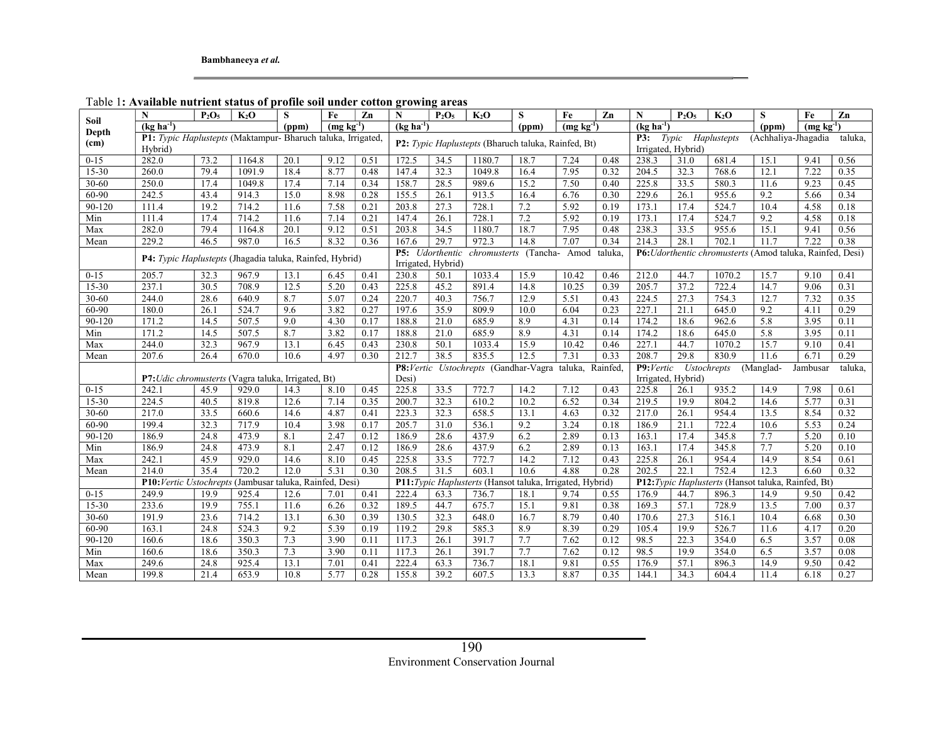| Soil              | N                                                                                                                   | $P_2O_5$                                                  | K <sub>2</sub> O | S    | Fe   | $\mathbf{Z}$ n | N                                                        | $P_2O_5$ | K <sub>2</sub> O                                                           | S    | Fe    | Zn                                                            | N                                                                | $P_2O_5$                                                  | K <sub>2</sub> O | S    | Fe   | $\mathbf{Zn}$ |  |  |  |
|-------------------|---------------------------------------------------------------------------------------------------------------------|-----------------------------------------------------------|------------------|------|------|----------------|----------------------------------------------------------|----------|----------------------------------------------------------------------------|------|-------|---------------------------------------------------------------|------------------------------------------------------------------|-----------------------------------------------------------|------------------|------|------|---------------|--|--|--|
| Depth             | $(kg \bar{h}a^{-1})$<br>(ppm)<br>$(mg kg-1)$                                                                        |                                                           |                  |      |      |                | $(kg \bar{h}a^{-1})$<br>$(mg \text{ kg}^{-1})$<br>(ppm)  |          |                                                                            |      |       |                                                               | $\overline{(\text{kg} \text{ ha}^{-1})}$<br>$(mg kg-1)$<br>(ppm) |                                                           |                  |      |      |               |  |  |  |
| (c <sub>m</sub> ) | P1: Typic Haplustepts (Maktampur- Bharuch taluka, Irrigated,<br>P2: Typic Haplustepts (Bharuch taluka, Rainfed, Bt) |                                                           |                  |      |      |                |                                                          |          |                                                                            |      |       | Haplustepts<br>P3:<br>Typic<br>(Achhaliya-Jhagadia<br>taluka, |                                                                  |                                                           |                  |      |      |               |  |  |  |
|                   | Hybrid)                                                                                                             |                                                           |                  |      |      |                |                                                          |          |                                                                            |      |       |                                                               | Irrigated, Hybrid)                                               |                                                           |                  |      |      |               |  |  |  |
| $0 - 15$          | 282.0                                                                                                               | 73.2                                                      | 1164.8           | 20.1 | 9.12 | 0.51           | 172.5                                                    | 34.5     | 1180.7                                                                     | 18.7 | 7.24  | 0.48                                                          | 238.3                                                            | 31.0                                                      | 681.4            | 15.1 | 9.41 | 0.56          |  |  |  |
| $15 - 30$         | 260.0                                                                                                               | 79.4                                                      | 1091.9           | 18.4 | 8.77 | 0.48           | 147.4                                                    | 32.3     | 1049.8                                                                     | 16.4 | 7.95  | 0.32                                                          | 204.5                                                            | 32.3                                                      | 768.6            | 12.1 | 7.22 | 0.35          |  |  |  |
| $30 - 60$         | 250.0                                                                                                               | 17.4                                                      | 1049.8           | 17.4 | 7.14 | 0.34           | 158.7                                                    | 28.5     | 989.6                                                                      | 15.2 | 7.50  | 0.40                                                          | 225.8                                                            | 33.5                                                      | 580.3            | 11.6 | 9.23 | 0.45          |  |  |  |
| 60-90             | 242.5                                                                                                               | 43.4                                                      | 914.3            | 15.0 | 8.98 | 0.28           | 155.5                                                    | 26.1     | 913.5                                                                      | 16.4 | 6.76  | 0.30                                                          | 229.6                                                            | 26.1                                                      | 955.6            | 9.2  | 5.66 | 0.34          |  |  |  |
| 90-120            | 111.4                                                                                                               | 19.2                                                      | 714.2            | 11.6 | 7.58 | 0.21           | 203.8                                                    | 27.3     | 728.1                                                                      | 7.2  | 5.92  | 0.19                                                          | 173.1                                                            | 17.4                                                      | 524.7            | 10.4 | 4.58 | 0.18          |  |  |  |
| Min               | 111.4                                                                                                               | 17.4                                                      | 714.2            | 11.6 | 7.14 | 0.21           | 147.4                                                    | 26.1     | 728.1                                                                      | 7.2  | 5.92  | 0.19                                                          | 173.1                                                            | 17.4                                                      | 524.7            | 9.2  | 4.58 | 0.18          |  |  |  |
| Max               | 282.0                                                                                                               | 79.4                                                      | 1164.8           | 20.1 | 9.12 | 0.51           | 203.8                                                    | 34.5     | 1180.7                                                                     | 18.7 | 7.95  | 0.48                                                          | 238.3                                                            | 33.5                                                      | 955.6            | 15.1 | 9.41 | 0.56          |  |  |  |
| Mean              | 229.2                                                                                                               | 46.5                                                      | 987.0            | 16.5 | 8.32 | 0.36           | 167.6                                                    | 29.7     | 972.3                                                                      | 14.8 | 7.07  | 0.34                                                          | 214.3                                                            | 28.1                                                      | 702.1            | 11.7 | 7.22 | 0.38          |  |  |  |
|                   | P4: Typic Haplustepts (Jhagadia taluka, Rainfed, Hybrid)                                                            |                                                           |                  |      |      |                | P5: Udorthentic<br>chromusterts (Tancha- Amod<br>taluka, |          |                                                                            |      |       |                                                               |                                                                  | P6: Udorthentic chromusterts (Amod taluka, Rainfed, Desi) |                  |      |      |               |  |  |  |
|                   |                                                                                                                     |                                                           |                  |      |      |                | Irrigated, Hybrid)                                       |          |                                                                            |      |       |                                                               |                                                                  |                                                           |                  |      |      |               |  |  |  |
| $0 - 15$          | 205.7                                                                                                               | 32.3                                                      | 967.9            | 13.1 | 6.45 | 0.41           | 230.8                                                    | 50.1     | 1033.4                                                                     | 15.9 | 10.42 | 0.46                                                          | 212.0                                                            | 44.7                                                      | 1070.2           | 15.7 | 9.10 | 0.41          |  |  |  |
| $15 - 30$         | 237.1                                                                                                               | 30.5                                                      | 708.9            | 12.5 | 5.20 | 0.43           | 225.8                                                    | 45.2     | 891.4                                                                      | 14.8 | 10.25 | 0.39                                                          | 205.7                                                            | 37.2                                                      | 722.4            | 14.7 | 9.06 | 0.31          |  |  |  |
| 30-60             | 244.0                                                                                                               | 28.6                                                      | 640.9            | 8.7  | 5.07 | 0.24           | 220.7                                                    | 40.3     | 756.7                                                                      | 12.9 | 5.51  | 0.43                                                          | 224.5                                                            | 27.3                                                      | 754.3            | 12.7 | 7.32 | 0.35          |  |  |  |
| $60 - 90$         | 180.0                                                                                                               | 26.1                                                      | 524.7            | 9.6  | 3.82 | 0.27           | 197.6                                                    | 35.9     | 809.9                                                                      | 10.0 | 6.04  | 0.23                                                          | 227.1                                                            | 21.1                                                      | 645.0            | 9.2  | 4.11 | 0.29          |  |  |  |
| 90-120            | 171.2                                                                                                               | 14.5                                                      | 507.5            | 9.0  | 4.30 | 0.17           | 188.8                                                    | 21.0     | 685.9                                                                      | 8.9  | 4.31  | 0.14                                                          | 174.2                                                            | 18.6                                                      | 962.6            | 5.8  | 3.95 | 0.11          |  |  |  |
| Min               | 171.2                                                                                                               | 14.5                                                      | 507.5            | 8.7  | 3.82 | 0.17           | 188.8                                                    | 21.0     | 685.9                                                                      | 8.9  | 4.31  | 0.14                                                          | 174.2                                                            | 18.6                                                      | 645.0            | 5.8  | 3.95 | 0.11          |  |  |  |
| Max               | 244.0                                                                                                               | 32.3                                                      | 967.9            | 13.1 | 6.45 | 0.43           | 230.8                                                    | 50.1     | 1033.4                                                                     | 15.9 | 10.42 | 0.46                                                          | 227.1                                                            | 44.7                                                      | 1070.2           | 15.7 | 9.10 | 0.41          |  |  |  |
| Mean              | 207.6                                                                                                               | 26.4                                                      | 670.0            | 10.6 | 4.97 | 0.30           | 212.7                                                    | 38.5     | 835.5                                                                      | 12.5 | 7.31  | 0.33                                                          | 208.7                                                            | 29.8                                                      | 830.9            | 11.6 | 6.71 | 0.29          |  |  |  |
|                   |                                                                                                                     | P8: Vertic Ustochrepts (Gandhar-Vagra taluka,<br>Rainfed, |                  |      |      |                |                                                          |          | P9:Vertic<br>taluka,<br>$\overline{U}$ stochrepts<br>(Manglad-<br>Jambusar |      |       |                                                               |                                                                  |                                                           |                  |      |      |               |  |  |  |
|                   | P7: Udic chromusterts (Vagra taluka, Irrigated, Bt)                                                                 |                                                           | Desi)            |      |      |                |                                                          |          | Irrigated, Hybrid)                                                         |      |       |                                                               |                                                                  |                                                           |                  |      |      |               |  |  |  |
| $0 - 15$          | 242.1                                                                                                               | 45.9                                                      | 929.0            | 14.3 | 8.10 | 0.45           | 225.8                                                    | 33.5     | 772.7                                                                      | 14.2 | 7.12  | 0.43                                                          | 225.8                                                            | 26.1                                                      | 935.2            | 14.9 | 7.98 | 0.61          |  |  |  |
| $15 - 30$         | 224.5                                                                                                               | 40.5                                                      | 819.8            | 12.6 | 7.14 | 0.35           | 200.7                                                    | 32.3     | 610.2                                                                      | 10.2 | 6.52  | 0.34                                                          | 219.5                                                            | 19.9                                                      | 804.2            | 14.6 | 5.77 | 0.31          |  |  |  |
| $30 - 60$         | 217.0                                                                                                               | 33.5                                                      | 660.6            | 14.6 | 4.87 | 0.41           | 223.3                                                    | 32.3     | 658.5                                                                      | 13.1 | 4.63  | 0.32                                                          | 217.0                                                            | 26.1                                                      | 954.4            | 13.5 | 8.54 | 0.32          |  |  |  |
| 60-90             | 199.4                                                                                                               | 32.3                                                      | 717.9            | 10.4 | 3.98 | 0.17           | 205.7                                                    | 31.0     | 536.1                                                                      | 9.2  | 3.24  | 0.18                                                          | 186.9                                                            | 21.1                                                      | 722.4            | 10.6 | 5.53 | 0.24          |  |  |  |
| $90 - 120$        | 186.9                                                                                                               | 24.8                                                      | 473.9            | 8.1  | 2.47 | 0.12           | 186.9                                                    | 28.6     | 437.9                                                                      | 6.2  | 2.89  | 0.13                                                          | 163.1                                                            | 17.4                                                      | 345.8            | 7.7  | 5.20 | 0.10          |  |  |  |
| Min               | 186.9                                                                                                               | 24.8                                                      | 473.9            | 8.1  | 2.47 | 0.12           | 186.9                                                    | 28.6     | 437.9                                                                      | 6.2  | 2.89  | 0.13                                                          | 163.1                                                            | 17.4                                                      | 345.8            | 7.7  | 5.20 | 0.10          |  |  |  |
| Max               | 242.1                                                                                                               | 45.9                                                      | 929.0            | 14.6 | 8.10 | 0.45           | 225.8                                                    | 33.5     | 772.7                                                                      | 14.2 | 7.12  | 0.43                                                          | 225.8                                                            | 26.1                                                      | 954.4            | 14.9 | 8.54 | 0.61          |  |  |  |
| Mean              | 214.0                                                                                                               | 35.4                                                      | 720.2            | 12.0 | 5.31 | 0.30           | 208.5                                                    | 31.5     | 603.1                                                                      | 10.6 | 4.88  | 0.28                                                          | 202.5<br>22.1<br>752.4<br>0.32<br>12.3<br>6.60                   |                                                           |                  |      |      |               |  |  |  |
|                   | P10: Vertic Ustochrepts (Jambusar taluka, Rainfed, Desi)                                                            |                                                           |                  |      |      |                |                                                          |          | P11: Typic Haplusterts (Hansot taluka, Irrigated, Hybrid)                  |      |       |                                                               | P12: Typic Haplusterts (Hansot taluka, Rainfed, Bt)              |                                                           |                  |      |      |               |  |  |  |
| $0 - 15$          | 249.9                                                                                                               | 19.9                                                      | 925.4            | 12.6 | 7.01 | 0.41           | 222.4                                                    | 63.3     | 736.7                                                                      | 18.1 | 9.74  | 0.55                                                          | 176.9                                                            | 44.7                                                      | 896.3            | 14.9 | 9.50 | 0.42          |  |  |  |
| $15 - 30$         | 233.6                                                                                                               | 19.9                                                      | 755.1            | 11.6 | 6.26 | 0.32           | 189.5                                                    | 44.7     | 675.7                                                                      | 15.1 | 9.81  | 0.38                                                          | 169.3                                                            | 57.1                                                      | 728.9            | 13.5 | 7.00 | 0.37          |  |  |  |
| $30 - 60$         | 191.9                                                                                                               | 23.6                                                      | 714.2            | 13.1 | 6.30 | 0.39           | 130.5                                                    | 32.3     | 648.0                                                                      | 16.7 | 8.79  | 0.40                                                          | 170.6                                                            | 27.3                                                      | 516.1            | 10.4 | 6.68 | 0.30          |  |  |  |
| 60-90             | 163.1                                                                                                               | 24.8                                                      | 524.3            | 9.2  | 5.39 | 0.19           | 119.2                                                    | 29.8     | 585.3                                                                      | 8.9  | 8.39  | 0.29                                                          | 105.4                                                            | 19.9                                                      | 526.7            | 11.6 | 4.17 | 0.20          |  |  |  |
| 90-120            | 160.6                                                                                                               | 18.6                                                      | 350.3            | 7.3  | 3.90 | 0.11           | 117.3                                                    | 26.1     | 391.7                                                                      | 7.7  | 7.62  | 0.12                                                          | 98.5                                                             | 22.3                                                      | 354.0            | 6.5  | 3.57 | 0.08          |  |  |  |
| Min               | 160.6                                                                                                               | 18.6                                                      | 350.3            | 7.3  | 3.90 | 0.11           | 117.3                                                    | 26.1     | 391.7                                                                      | 7.7  | 7.62  | 0.12                                                          | 98.5                                                             | 19.9                                                      | 354.0            | 6.5  | 3.57 | 0.08          |  |  |  |
| Max               | 249.6                                                                                                               | 24.8                                                      | 925.4            | 13.1 | 7.01 | 0.41           | 222.4                                                    | 63.3     | 736.7                                                                      | 18.1 | 9.81  | 0.55                                                          | 176.9                                                            | 57.1                                                      | 896.3            | 14.9 | 9.50 | 0.42          |  |  |  |
| Mean              | 199.8                                                                                                               | 21.4                                                      | 653.9            | 10.8 | 5.77 | 0.28           | 155.8                                                    | 39.2     | 607.5                                                                      | 13.3 | 8.87  | 0.35                                                          | 144.1                                                            | 34.3                                                      | 604.4            | 11.4 | 6.18 | 0.27          |  |  |  |

Table 1: Available nutrient status of profile soil under cotton growing areas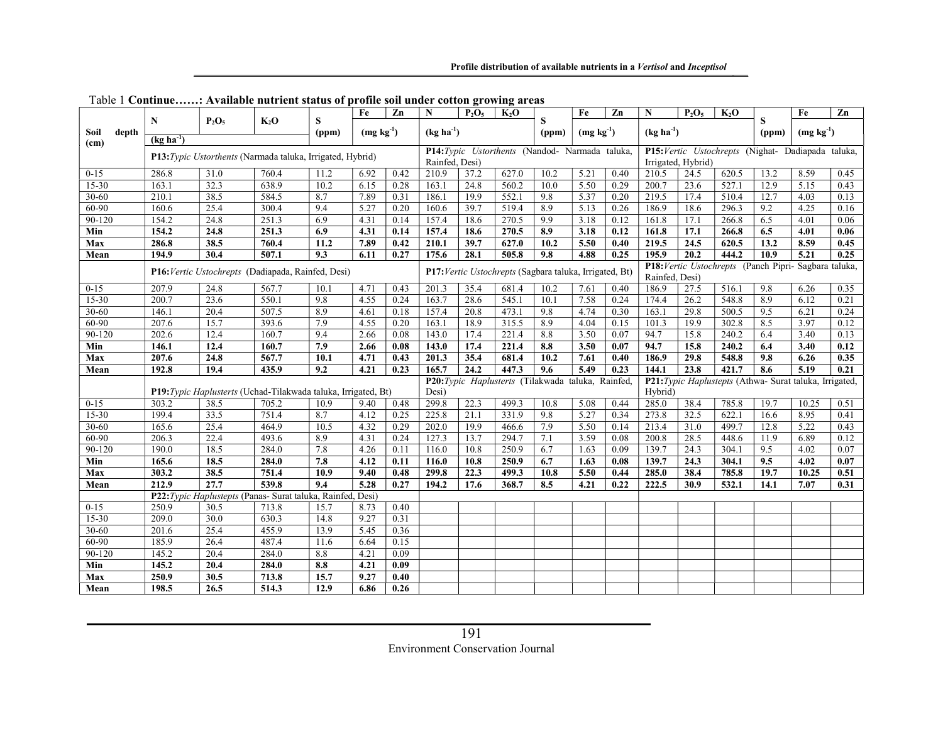|                   |                                                            |                                                                |                                                         |       | Fe            | Zn          | N     | $P_2O_5$                                       | $K_2O$                                                                  |                                                         | Fe                   | Zn      | N              | $P_2O_5$                                          | $K_2O$ |       | Fe          | Zn   |  |  |
|-------------------|------------------------------------------------------------|----------------------------------------------------------------|---------------------------------------------------------|-------|---------------|-------------|-------|------------------------------------------------|-------------------------------------------------------------------------|---------------------------------------------------------|----------------------|---------|----------------|---------------------------------------------------|--------|-------|-------------|------|--|--|
|                   | N<br>$P_2O_5$                                              |                                                                | $K_2O$                                                  | S     |               |             |       |                                                |                                                                         | S                                                       |                      |         | $(kg ha^{-1})$ |                                                   |        | S     |             |      |  |  |
| depth<br>Soil     | $(kg ha-1)$                                                |                                                                |                                                         | (ppm) |               | $(mg kg-1)$ |       | $(kg ha-1)$                                    |                                                                         |                                                         | $(mg kg-1)$<br>(ppm) |         |                |                                                   |        | (ppm) | $(mg kg-1)$ |      |  |  |
| (c <sub>m</sub> ) |                                                            |                                                                |                                                         |       |               |             |       | P14:Typic Ustorthents (Nandod- Narmada taluka, |                                                                         |                                                         |                      |         |                | P15:Vertic Ustochrepts (Nighat- Dadiapada taluka, |        |       |             |      |  |  |
|                   | P13: Typic Ustorthents (Narmada taluka, Irrigated, Hybrid) |                                                                | Rainfed, Desi)                                          |       |               |             |       |                                                |                                                                         | Irrigated, Hybrid)                                      |                      |         |                |                                                   |        |       |             |      |  |  |
| $0 - 15$          | 286.8                                                      | 31.0                                                           | 760.4                                                   | 11.2  | 6.92          | 0.42        | 210.9 | 37.2                                           | 627.0                                                                   | 10.2                                                    | 5.21                 | 0.40    | 210.5          | 24.5                                              | 620.5  | 13.2  | 8.59        | 0.45 |  |  |
| 15-30             | 163.1                                                      | 32.3                                                           | 638.9                                                   | 10.2  | 6.15          | 0.28        | 163.1 | 24.8                                           | 560.2                                                                   | 10.0                                                    | 5.50                 | 0.29    | 200.7          | 23.6                                              | 527.1  | 12.9  | 5.15        | 0.43 |  |  |
| 30-60             | 210.1                                                      | 38.5                                                           | 584.5                                                   | 8.7   | 7.89          | 0.31        | 186.1 | 19.9                                           | 552.1                                                                   | 9.8                                                     | 5.37                 | 0.20    | 219.5          | 17.4                                              | 510.4  | 12.7  | 4.03        | 0.13 |  |  |
| 60-90             | 160.6                                                      | 25.4                                                           | 300.4                                                   | 9.4   | 5.27          | 0.20        | 160.6 | 39.7                                           | 519.4                                                                   | 8.9                                                     | 5.13                 | 0.26    | 186.9          | 18.6                                              | 296.3  | 9.2   | 4.25        | 0.16 |  |  |
| $90 - 120$        | 154.2                                                      | 24.8                                                           | 251.3                                                   | 6.9   | 4.31          | 0.14        | 157.4 | 18.6                                           | 270.5                                                                   | 9.9                                                     | 3.18                 | 0.12    | 161.8          | 17.1                                              | 266.8  | 6.5   | 4.01        | 0.06 |  |  |
| Min               | 154.2                                                      | 24.8                                                           | 251.3                                                   | 6.9   | 4.31          | 0.14        | 157.4 | 18.6                                           | 270.5                                                                   | 8.9                                                     | 3.18                 | 0.12    | 161.8          | 17.1                                              | 266.8  | 6.5   | 4.01        | 0.06 |  |  |
| Max               | 286.8                                                      | 38.5                                                           | 760.4                                                   | 11.2  | 7.89          | 0.42        | 210.1 | 39.7                                           | 627.0                                                                   | 10.2                                                    | 5.50                 | 0.40    | 219.5          | 24.5                                              | 620.5  | 13.2  | 8.59        | 0.45 |  |  |
| Mean              | 194.9                                                      | 30.4                                                           | 507.1                                                   | 9.3   | 6.11          | 0.27        | 175.6 | 28.1                                           | 505.8                                                                   | 9.8                                                     | 4.88                 | 0.25    | 195.9          | 20.2                                              | 444.2  | 10.9  | 5.21        | 0.25 |  |  |
|                   |                                                            | P16: Vertic Ustochrepts (Dadiapada, Rainfed, Desi)             | P17: Vertic Ustochrepts (Sagbara taluka, Irrigated, Bt) |       |               |             |       |                                                | P18: Vertic Ustochrepts (Panch Pipri- Sagbara taluka,<br>Rainfed, Desi) |                                                         |                      |         |                |                                                   |        |       |             |      |  |  |
| $0 - 15$          | 207.9                                                      | 24.8                                                           | 567.7                                                   | 10.1  | 4.71          | 0.43        | 201.3 | 35.4                                           | 681.4                                                                   | 10.2                                                    | 7.61                 | 0.40    | 186.9          | 27.5                                              | 516.1  | 9.8   | 6.26        | 0.35 |  |  |
| 15-30             | 200.7                                                      | 23.6                                                           | 550.1                                                   | 9.8   | 4.55          | 0.24        | 163.7 | 28.6                                           | 545.1                                                                   | 10.1                                                    | 7.58                 | 0.24    | 174.4          | 26.2                                              | 548.8  | 8.9   | 6.12        | 0.21 |  |  |
| 30-60             | 146.1                                                      | 20.4                                                           | 507.5                                                   | 8.9   | 4.61          | 0.18        | 157.4 | 20.8                                           | 473.1                                                                   | 9.8                                                     | 4.74                 | 0.30    | 163.1          | 29.8                                              | 500.5  | 9.5   | 6.21        | 0.24 |  |  |
| 60-90             | 207.6                                                      | 15.7                                                           | 393.6                                                   | 7.9   | 4.55          | 0.20        | 163.1 | 18.9                                           | 315.5                                                                   | 8.9                                                     | 4.04                 | 0.15    | 101.3          | 19.9                                              | 302.8  | 8.5   | 3.97        | 0.12 |  |  |
| $90 - 120$        | 202.6                                                      | 12.4                                                           | 160.7                                                   | 9.4   | 2.66          | 0.08        | 143.0 | 17.4                                           | 221.4                                                                   | 8.8                                                     | 3.50                 | 0.07    | 94.7           | 15.8                                              | 240.2  | 6.4   | 3.40        | 0.13 |  |  |
| Min               | 146.1                                                      | 12.4                                                           | 160.7                                                   | 7.9   | 2.66          | 0.08        | 143.0 | 17.4                                           | 221.4                                                                   | 8.8                                                     | 3.50                 | 0.07    | 94.7           | 15.8                                              | 240.2  | 6.4   | 3.40        | 0.12 |  |  |
| Max               | 207.6                                                      | 24.8                                                           | 567.7                                                   | 10.1  | 4.71          | 0.43        | 201.3 | 35.4                                           | 681.4                                                                   | 10.2                                                    | 7.61                 | 0.40    | 186.9          | 29.8                                              | 548.8  | 9.8   | 6.26        | 0.35 |  |  |
| Mean              | 192.8                                                      | 19.4                                                           | 435.9                                                   | 9.2   | 4.21          | 0.23        | 165.7 | 24.2                                           | 447.3                                                                   | 9.6                                                     | 5.49                 | 0.23    | 144.1          | 23.8                                              | 421.7  | 8.6   | 5.19        | 0.21 |  |  |
|                   |                                                            |                                                                | P20:Typic Haplusterts (Tilakwada taluka, Rainfed,       |       |               |             |       |                                                |                                                                         | P21: Typic Haplustepts (Athwa- Surat taluka, Irrigated, |                      |         |                |                                                   |        |       |             |      |  |  |
|                   |                                                            | P19: Typic Haplusterts (Uchad-Tilakwada taluka, Irrigated, Bt) |                                                         |       |               |             | Desi) |                                                |                                                                         |                                                         |                      | Hybrid) |                |                                                   |        |       |             |      |  |  |
| $0-15$            | 303.2                                                      | 38.5                                                           | 705.2                                                   | 10.9  | 9.40          | 0.48        | 299.8 | 22.3                                           | 499.3                                                                   | 10.8                                                    | 5.08                 | 0.44    | 285.0          | 38.4                                              | 785.8  | 19.7  | 10.25       | 0.51 |  |  |
| $15 - 30$         | 199.4                                                      | 33.5                                                           | 751.4                                                   | 8.7   | 4.12          | 0.25        | 225.8 | 21.1                                           | 331.9                                                                   | 9.8                                                     | 5.27                 | 0.34    | 273.8          | 32.5                                              | 622.1  | 16.6  | 8.95        | 0.41 |  |  |
| 30-60             | 165.6                                                      | 25.4                                                           | 464.9                                                   | 10.5  | 4.32          | 0.29        | 202.0 | 19.9                                           | 466.6                                                                   | 7.9                                                     | 5.50                 | 0.14    | 213.4          | 31.0                                              | 499.7  | 12.8  | 5.22        | 0.43 |  |  |
| 60-90             | 206.3                                                      | 22.4                                                           | 493.6                                                   | 8.9   | 4.31          | 0.24        | 127.3 | 13.7                                           | 294.7                                                                   | 7.1                                                     | 3.59                 | 0.08    | 200.8          | 28.5                                              | 448.6  | 11.9  | 6.89        | 0.12 |  |  |
| 90-120            | 190.0                                                      | 18.5                                                           | 284.0                                                   | 7.8   | 4.26          | 0.11        | 116.0 | 10.8                                           | 250.9                                                                   | 6.7                                                     | 1.63                 | 0.09    | 139.7          | 24.3                                              | 304.1  | 9.5   | 4.02        | 0.07 |  |  |
| Min               | 165.6                                                      | 18.5                                                           | 284.0                                                   | 7.8   | 4.12          | 0.11        | 116.0 | 10.8                                           | 250.9                                                                   | 6.7                                                     | 1.63                 | 0.08    | 139.7          | 24.3                                              | 304.1  | 9.5   | 4.02        | 0.07 |  |  |
| Max               | 303.2                                                      | 38.5                                                           | 751.4                                                   | 10.9  | 9.40          | 0.48        | 299.8 | 22.3                                           | 499.3                                                                   | 10.8                                                    | 5.50                 | 0.44    | 285.0          | 38.4                                              | 785.8  | 19.7  | 10.25       | 0.51 |  |  |
| Mean              | 212.9                                                      | $\overline{27.7}$                                              | 539.8                                                   | 9.4   | 5.28<br>Desi) | 0.27        | 194.2 | 17.6                                           | 368.7                                                                   | 8.5                                                     | 4.21                 | 0.22    | 222.5          | 30.9                                              | 532.1  | 14.1  | 7.07        | 0.31 |  |  |
|                   |                                                            | P22: Typic Haplustepts (Panas- Surat taluka, Rainfed,          |                                                         |       |               |             |       |                                                |                                                                         |                                                         |                      |         |                |                                                   |        |       |             |      |  |  |
| $0 - 15$          | 250.9                                                      | 30.5                                                           | 713.8                                                   | 15.7  | 8.73          | 0.40        |       |                                                |                                                                         |                                                         |                      |         |                |                                                   |        |       |             |      |  |  |
| $15 - 30$         | $\overline{2}09.0$                                         | 30.0                                                           | 630.3                                                   | 14.8  | 9.27          | 0.31        |       |                                                |                                                                         |                                                         |                      |         |                |                                                   |        |       |             |      |  |  |
| $30 - 60$         | 201.6                                                      | 25.4                                                           | 455.9                                                   | 13.9  | 5.45          | 0.36        |       |                                                |                                                                         |                                                         |                      |         |                |                                                   |        |       |             |      |  |  |
| 60-90             | 185.9                                                      | 26.4                                                           | 487.4                                                   | 11.6  | 6.64          | 0.15        |       |                                                |                                                                         |                                                         |                      |         |                |                                                   |        |       |             |      |  |  |
| 90-120            | 145.2                                                      | 20.4                                                           | 284.0                                                   | 8.8   | 4.21          | 0.09        |       |                                                |                                                                         |                                                         |                      |         |                |                                                   |        |       |             |      |  |  |
| Min               | 145.2                                                      | 20.4                                                           | 284.0                                                   | 8.8   | 4.21          | 0.09        |       |                                                |                                                                         |                                                         |                      |         |                |                                                   |        |       |             |      |  |  |
| Max               | 250.9                                                      | 30.5                                                           | 713.8                                                   | 15.7  | 9.27          | 0.40        |       |                                                |                                                                         |                                                         |                      |         |                |                                                   |        |       |             |      |  |  |
| Mean              | 198.5                                                      | 26.5                                                           | 514.3                                                   | 12.9  | 6.86          | 0.26        |       |                                                |                                                                         |                                                         |                      |         |                |                                                   |        |       |             |      |  |  |

Table 1 Continue……: Available nutrient status of profile soil under cotton growing areas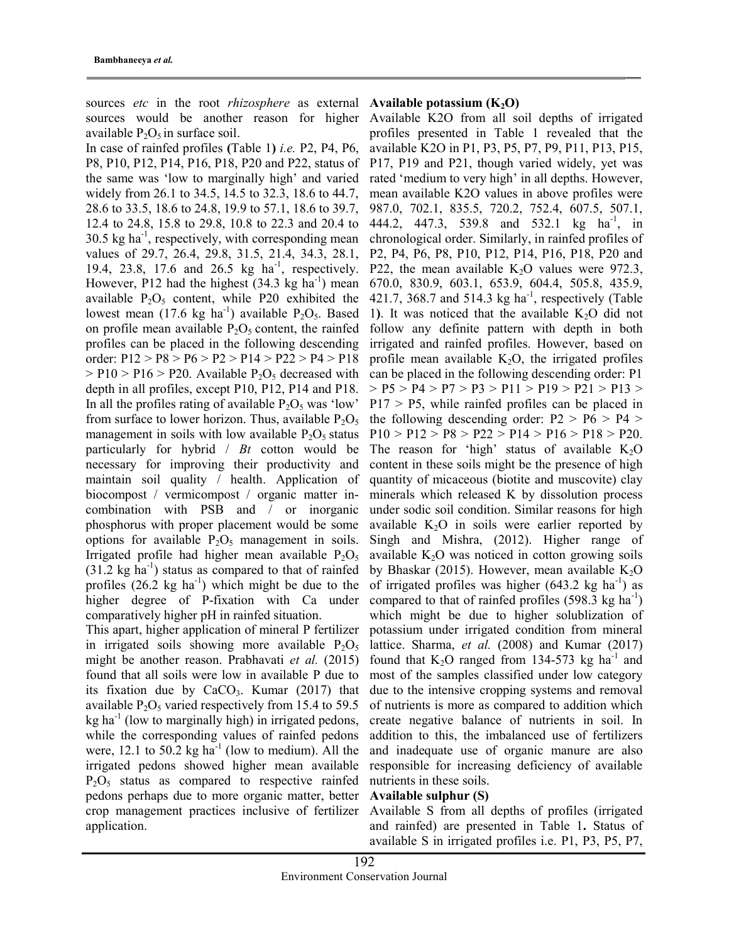sources *etc* in the root *rhizosphere* as external **Available potassium** ( $K_2O$ ) available  $P_2O_5$  in surface soil.

In case of rainfed profiles (Table 1) i.e. P2, P4, P6, P8, P10, P12, P14, P16, P18, P20 and P22, status of the same was 'low to marginally high' and varied widely from 26.1 to 34.5, 14.5 to 32.3, 18.6 to 44.7, 28.6 to 33.5, 18.6 to 24.8, 19.9 to 57.1, 18.6 to 39.7, 12.4 to 24.8, 15.8 to 29.8, 10.8 to 22.3 and 20.4 to  $30.5$  kg ha<sup>-1</sup>, respectively, with corresponding mean values of 29.7, 26.4, 29.8, 31.5, 21.4, 34.3, 28.1, 19.4, 23.8, 17.6 and 26.5 kg ha<sup>-1</sup>, respectively. However, P12 had the highest  $(34.3 \text{ kg ha}^{-1})$  mean available  $P_2O_5$  content, while P20 exhibited the lowest mean (17.6 kg ha<sup>-1</sup>) available  $P_2O_5$ . Based on profile mean available  $P_2O_5$  content, the rainfed profiles can be placed in the following descending order: P12 > P8 > P6 > P2 > P14 > P22 > P4 > P18  $>$  P10  $>$  P16  $>$  P20. Available P<sub>2</sub>O<sub>5</sub> decreased with depth in all profiles, except P10, P12, P14 and P18. In all the profiles rating of available  $P_2O_5$  was 'low' from surface to lower horizon. Thus, available  $P_2O_5$ management in soils with low available  $P_2O_5$  status particularly for hybrid  $/Bt$  cotton would be necessary for improving their productivity and maintain soil quality / health. Application of biocompost / vermicompost / organic matter incombination with PSB and / or inorganic phosphorus with proper placement would be some options for available  $P_2O_5$  management in soils. Irrigated profile had higher mean available  $P_2O_5$  $(31.2 \text{ kg ha}^{-1})$  status as compared to that of rainfed profiles  $(26.2 \text{ kg ha}^{-1})$  which might be due to the higher degree of P-fixation with Ca under comparatively higher pH in rainfed situation.

This apart, higher application of mineral P fertilizer in irrigated soils showing more available  $P_2O_5$ might be another reason. Prabhavati et al. (2015) found that all soils were low in available P due to its fixation due by  $CaCO<sub>3</sub>$ . Kumar (2017) that available  $P_2O_5$  varied respectively from 15.4 to 59.5  $kg$  ha<sup>-1</sup> (low to marginally high) in irrigated pedons, while the corresponding values of rainfed pedons were, 12.1 to 50.2 kg ha<sup>-1</sup> (low to medium). All the irrigated pedons showed higher mean available  $P_2O_5$  status as compared to respective rainfed pedons perhaps due to more organic matter, better crop management practices inclusive of fertilizer application.

sources would be another reason for higher Available K2O from all soil depths of irrigated profiles presented in Table 1 revealed that the available K2O in P1, P3, P5, P7, P9, P11, P13, P15, P17, P19 and P21, though varied widely, yet was rated 'medium to very high' in all depths. However, mean available K2O values in above profiles were 987.0, 702.1, 835.5, 720.2, 752.4, 607.5, 507.1, 444.2, 447.3, 539.8 and 532.1 kg ha<sup>-1</sup>, in chronological order. Similarly, in rainfed profiles of P2, P4, P6, P8, P10, P12, P14, P16, P18, P20 and P22, the mean available  $K_2O$  values were 972.3, 670.0, 830.9, 603.1, 653.9, 604.4, 505.8, 435.9, 421.7, 368.7 and 514.3 kg ha<sup>-1</sup>, respectively (Table 1). It was noticed that the available  $K_2O$  did not follow any definite pattern with depth in both irrigated and rainfed profiles. However, based on profile mean available  $K_2O$ , the irrigated profiles can be placed in the following descending order: P1  $>$  P5  $>$  P4  $>$  P7  $>$  P3  $>$  P11  $>$  P19  $>$  P21  $>$  P13  $>$  $P17 > P5$ , while rainfed profiles can be placed in the following descending order:  $P2 > P6 > P4 >$  $P10 > P12 > P8 > P22 > P14 > P16 > P18 > P20.$ The reason for 'high' status of available  $K_2O$ content in these soils might be the presence of high quantity of micaceous (biotite and muscovite) clay minerals which released K by dissolution process under sodic soil condition. Similar reasons for high available  $K_2O$  in soils were earlier reported by Singh and Mishra, (2012). Higher range of available  $K<sub>2</sub>O$  was noticed in cotton growing soils by Bhaskar (2015). However, mean available  $K_2O$ of irrigated profiles was higher  $(643.2 \text{ kg ha}^{-1})$  as compared to that of rainfed profiles  $(598.3 \text{ kg ha}^{-1})$ which might be due to higher solublization of potassium under irrigated condition from mineral lattice. Sharma, et al. (2008) and Kumar (2017) found that  $K_2O$  ranged from 134-573 kg ha<sup>-1</sup> and most of the samples classified under low category due to the intensive cropping systems and removal of nutrients is more as compared to addition which create negative balance of nutrients in soil. In addition to this, the imbalanced use of fertilizers and inadequate use of organic manure are also responsible for increasing deficiency of available nutrients in these soils.

# Available sulphur (S)

Available S from all depths of profiles (irrigated and rainfed) are presented in Table 1. Status of available S in irrigated profiles i.e. P1, P3, P5, P7,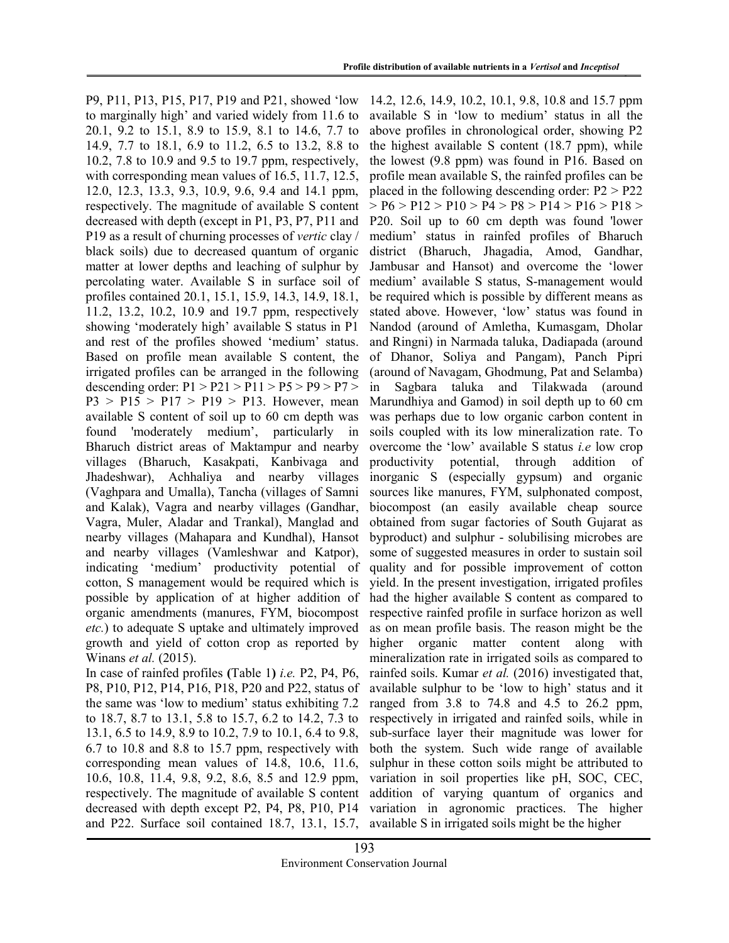P9, P11, P13, P15, P17, P19 and P21, showed 'low to marginally high' and varied widely from 11.6 to 20.1, 9.2 to 15.1, 8.9 to 15.9, 8.1 to 14.6, 7.7 to 14.9, 7.7 to 18.1, 6.9 to 11.2, 6.5 to 13.2, 8.8 to 10.2, 7.8 to 10.9 and 9.5 to 19.7 ppm, respectively, with corresponding mean values of 16.5, 11.7, 12.5, 12.0, 12.3, 13.3, 9.3, 10.9, 9.6, 9.4 and 14.1 ppm, respectively. The magnitude of available S content decreased with depth (except in P1, P3, P7, P11 and P19 as a result of churning processes of vertic clay / black soils) due to decreased quantum of organic matter at lower depths and leaching of sulphur by percolating water. Available S in surface soil of profiles contained 20.1, 15.1, 15.9, 14.3, 14.9, 18.1, 11.2, 13.2, 10.2, 10.9 and 19.7 ppm, respectively showing 'moderately high' available S status in P1 and rest of the profiles showed 'medium' status. Based on profile mean available S content, the irrigated profiles can be arranged in the following descending order:  $P1 > P21 > P11 > P5 > P9 > P7 >$  $P3 > P15 > P17 > P19 > P13$ . However, mean available S content of soil up to 60 cm depth was found 'moderately medium', particularly in Bharuch district areas of Maktampur and nearby villages (Bharuch, Kasakpati, Kanbivaga and Jhadeshwar), Achhaliya and nearby villages (Vaghpara and Umalla), Tancha (villages of Samni and Kalak), Vagra and nearby villages (Gandhar, Vagra, Muler, Aladar and Trankal), Manglad and nearby villages (Mahapara and Kundhal), Hansot and nearby villages (Vamleshwar and Katpor), indicating 'medium' productivity potential of cotton, S management would be required which is possible by application of at higher addition of organic amendments (manures, FYM, biocompost etc.) to adequate S uptake and ultimately improved growth and yield of cotton crop as reported by Winans et al. (2015).

In case of rainfed profiles (Table 1) i.e. P2, P4, P6, P8, P10, P12, P14, P16, P18, P20 and P22, status of the same was 'low to medium' status exhibiting 7.2 to 18.7, 8.7 to 13.1, 5.8 to 15.7, 6.2 to 14.2, 7.3 to 13.1, 6.5 to 14.9, 8.9 to 10.2, 7.9 to 10.1, 6.4 to 9.8, 6.7 to 10.8 and 8.8 to 15.7 ppm, respectively with corresponding mean values of 14.8, 10.6, 11.6, 10.6, 10.8, 11.4, 9.8, 9.2, 8.6, 8.5 and 12.9 ppm, respectively. The magnitude of available S content decreased with depth except P2, P4, P8, P10, P14 and P22. Surface soil contained 18.7, 13.1, 15.7,

14.2, 12.6, 14.9, 10.2, 10.1, 9.8, 10.8 and 15.7 ppm available S in 'low to medium' status in all the above profiles in chronological order, showing P2 the highest available S content (18.7 ppm), while the lowest (9.8 ppm) was found in P16. Based on profile mean available S, the rainfed profiles can be placed in the following descending order: P2 > P22  $>$  P<sub>0</sub>  $>$  P<sub>12</sub>  $>$  P<sub>10</sub>  $>$  P<sub>4</sub>  $>$  P<sub>8</sub>  $>$  P<sub>14</sub>  $>$  P<sub>16</sub>  $>$  P<sub>18</sub>  $>$ P20. Soil up to 60 cm depth was found 'lower medium' status in rainfed profiles of Bharuch district (Bharuch, Jhagadia, Amod, Gandhar, Jambusar and Hansot) and overcome the 'lower medium' available S status, S-management would be required which is possible by different means as stated above. However, 'low' status was found in Nandod (around of Amletha, Kumasgam, Dholar and Ringni) in Narmada taluka, Dadiapada (around of Dhanor, Soliya and Pangam), Panch Pipri (around of Navagam, Ghodmung, Pat and Selamba) in Sagbara taluka and Tilakwada (around Marundhiya and Gamod) in soil depth up to 60 cm was perhaps due to low organic carbon content in soils coupled with its low mineralization rate. To overcome the 'low' available S status i.e low crop productivity potential, through addition of inorganic S (especially gypsum) and organic sources like manures, FYM, sulphonated compost, biocompost (an easily available cheap source obtained from sugar factories of South Gujarat as byproduct) and sulphur - solubilising microbes are some of suggested measures in order to sustain soil quality and for possible improvement of cotton yield. In the present investigation, irrigated profiles had the higher available S content as compared to respective rainfed profile in surface horizon as well as on mean profile basis. The reason might be the higher organic matter content along with mineralization rate in irrigated soils as compared to rainfed soils. Kumar et al. (2016) investigated that, available sulphur to be 'low to high' status and it ranged from 3.8 to 74.8 and 4.5 to 26.2 ppm, respectively in irrigated and rainfed soils, while in sub-surface layer their magnitude was lower for both the system. Such wide range of available sulphur in these cotton soils might be attributed to variation in soil properties like pH, SOC, CEC, addition of varying quantum of organics and variation in agronomic practices. The higher available S in irrigated soils might be the higher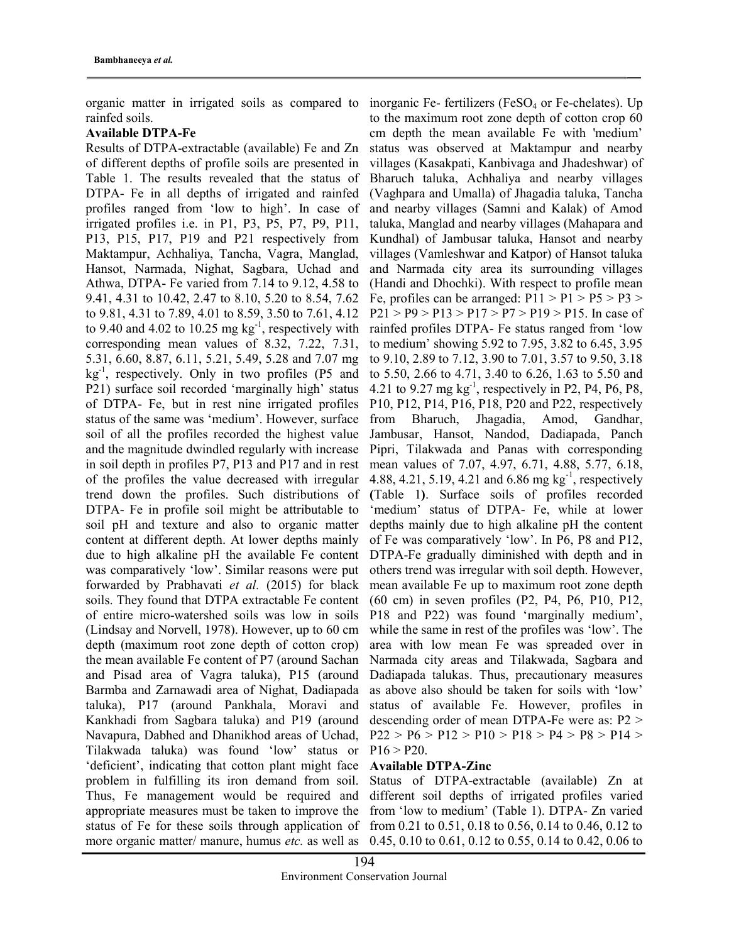organic matter in irrigated soils as compared to rainfed soils.

# Available DTPA-Fe

Results of DTPA-extractable (available) Fe and Zn of different depths of profile soils are presented in Table 1. The results revealed that the status of DTPA- Fe in all depths of irrigated and rainfed profiles ranged from 'low to high'. In case of irrigated profiles i.e. in P1, P3, P5, P7, P9, P11, P13, P15, P17, P19 and P21 respectively from Maktampur, Achhaliya, Tancha, Vagra, Manglad, Hansot, Narmada, Nighat, Sagbara, Uchad and Athwa, DTPA- Fe varied from 7.14 to 9.12, 4.58 to 9.41, 4.31 to 10.42, 2.47 to 8.10, 5.20 to 8.54, 7.62 to 9.81, 4.31 to 7.89, 4.01 to 8.59, 3.50 to 7.61, 4.12 to 9.40 and 4.02 to 10.25 mg  $kg^{-1}$ , respectively with corresponding mean values of 8.32, 7.22, 7.31, 5.31, 6.60, 8.87, 6.11, 5.21, 5.49, 5.28 and 7.07 mg  $kg<sup>-1</sup>$ , respectively. Only in two profiles (P5 and P21) surface soil recorded 'marginally high' status of DTPA- Fe, but in rest nine irrigated profiles status of the same was 'medium'. However, surface soil of all the profiles recorded the highest value and the magnitude dwindled regularly with increase in soil depth in profiles P7, P13 and P17 and in rest of the profiles the value decreased with irregular trend down the profiles. Such distributions of DTPA- Fe in profile soil might be attributable to soil pH and texture and also to organic matter content at different depth. At lower depths mainly due to high alkaline pH the available Fe content was comparatively 'low'. Similar reasons were put forwarded by Prabhavati et al. (2015) for black soils. They found that DTPA extractable Fe content of entire micro-watershed soils was low in soils (Lindsay and Norvell, 1978). However, up to 60 cm depth (maximum root zone depth of cotton crop) the mean available Fe content of P7 (around Sachan and Pisad area of Vagra taluka), P15 (around Barmba and Zarnawadi area of Nighat, Dadiapada taluka), P17 (around Pankhala, Moravi and Kankhadi from Sagbara taluka) and P19 (around Navapura, Dabhed and Dhanikhod areas of Uchad, Tilakwada taluka) was found 'low' status or 'deficient', indicating that cotton plant might face problem in fulfilling its iron demand from soil. Thus, Fe management would be required and appropriate measures must be taken to improve the status of Fe for these soils through application of more organic matter/ manure, humus etc. as well as

inorganic Fe- fertilizers ( $FeSO<sub>4</sub>$  or Fe-chelates). Up to the maximum root zone depth of cotton crop 60 cm depth the mean available Fe with 'medium' status was observed at Maktampur and nearby villages (Kasakpati, Kanbivaga and Jhadeshwar) of Bharuch taluka, Achhaliya and nearby villages (Vaghpara and Umalla) of Jhagadia taluka, Tancha and nearby villages (Samni and Kalak) of Amod taluka, Manglad and nearby villages (Mahapara and Kundhal) of Jambusar taluka, Hansot and nearby villages (Vamleshwar and Katpor) of Hansot taluka and Narmada city area its surrounding villages (Handi and Dhochki). With respect to profile mean Fe, profiles can be arranged:  $P11 > P1 > P5 > P3 >$  $P21 > P9 > P13 > P17 > P7 > P19 > P15$ . In case of rainfed profiles DTPA- Fe status ranged from 'low to medium' showing 5.92 to 7.95, 3.82 to 6.45, 3.95 to 9.10, 2.89 to 7.12, 3.90 to 7.01, 3.57 to 9.50, 3.18 to 5.50, 2.66 to 4.71, 3.40 to 6.26, 1.63 to 5.50 and 4.21 to 9.27 mg  $kg^{-1}$ , respectively in P2, P4, P6, P8, P10, P12, P14, P16, P18, P20 and P22, respectively from Bharuch, Jhagadia, Amod, Gandhar, Jambusar, Hansot, Nandod, Dadiapada, Panch Pipri, Tilakwada and Panas with corresponding mean values of 7.07, 4.97, 6.71, 4.88, 5.77, 6.18, 4.88, 4.21, 5.19, 4.21 and 6.86 mg kg<sup>-1</sup>, respectively (Table 1). Surface soils of profiles recorded 'medium' status of DTPA- Fe, while at lower depths mainly due to high alkaline pH the content of Fe was comparatively 'low'. In P6, P8 and P12, DTPA-Fe gradually diminished with depth and in others trend was irregular with soil depth. However, mean available Fe up to maximum root zone depth (60 cm) in seven profiles (P2, P4, P6, P10, P12, P18 and P22) was found 'marginally medium', while the same in rest of the profiles was 'low'. The area with low mean Fe was spreaded over in Narmada city areas and Tilakwada, Sagbara and Dadiapada talukas. Thus, precautionary measures as above also should be taken for soils with 'low' status of available Fe. However, profiles in descending order of mean DTPA-Fe were as: P2 >  $P22 > P6 > P12 > P10 > P18 > P4 > P8 > P14 >$  $P16 > P20$ .

# Available DTPA-Zinc

Status of DTPA-extractable (available) Zn at different soil depths of irrigated profiles varied from 'low to medium' (Table 1). DTPA- Zn varied from 0.21 to 0.51, 0.18 to 0.56, 0.14 to 0.46, 0.12 to 0.45, 0.10 to 0.61, 0.12 to 0.55, 0.14 to 0.42, 0.06 to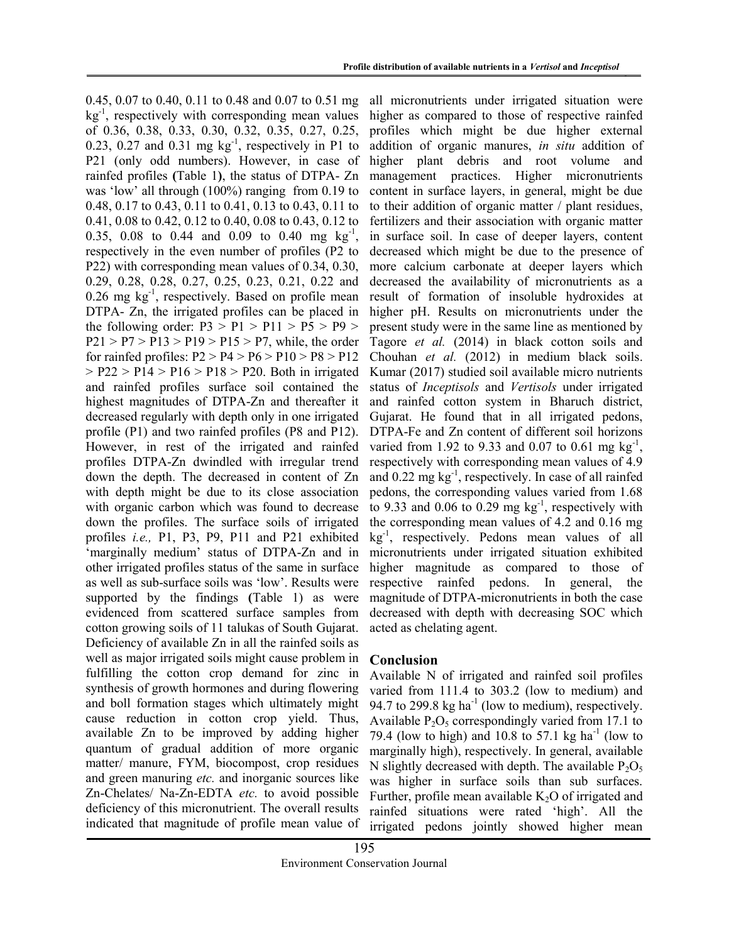0.45, 0.07 to 0.40, 0.11 to 0.48 and 0.07 to 0.51 mg  $kg^{-1}$ , respectively with corresponding mean values of 0.36, 0.38, 0.33, 0.30, 0.32, 0.35, 0.27, 0.25, 0.23, 0.27 and 0.31 mg  $kg^{-1}$ , respectively in P1 to P21 (only odd numbers). However, in case of rainfed profiles (Table 1), the status of DTPA- Zn was 'low' all through (100%) ranging from 0.19 to 0.48, 0.17 to 0.43, 0.11 to 0.41, 0.13 to 0.43, 0.11 to 0.41, 0.08 to 0.42, 0.12 to 0.40, 0.08 to 0.43, 0.12 to 0.35, 0.08 to 0.44 and 0.09 to 0.40 mg  $\text{kg}^{-1}$ , respectively in the even number of profiles (P2 to P22) with corresponding mean values of 0.34, 0.30, 0.29, 0.28, 0.28, 0.27, 0.25, 0.23, 0.21, 0.22 and  $0.26$  mg kg<sup>-1</sup>, respectively. Based on profile mean DTPA- Zn, the irrigated profiles can be placed in the following order:  $P3 > P1 > P11 > P5 > P9 >$  $P21 > P7 > P13 > P19 > P15 > P7$ , while, the order for rainfed profiles:  $P2 > P4 > P6 > P10 > P8 > P12$  $>$  P22  $>$  P14  $>$  P16  $>$  P18  $>$  P20. Both in irrigated and rainfed profiles surface soil contained the highest magnitudes of DTPA-Zn and thereafter it decreased regularly with depth only in one irrigated profile (P1) and two rainfed profiles (P8 and P12). However, in rest of the irrigated and rainfed profiles DTPA-Zn dwindled with irregular trend down the depth. The decreased in content of Zn with depth might be due to its close association with organic carbon which was found to decrease down the profiles. The surface soils of irrigated profiles i.e., P1, P3, P9, P11 and P21 exhibited 'marginally medium' status of DTPA-Zn and in other irrigated profiles status of the same in surface as well as sub-surface soils was 'low'. Results were supported by the findings (Table 1) as were evidenced from scattered surface samples from cotton growing soils of 11 talukas of South Gujarat. Deficiency of available Zn in all the rainfed soils as well as major irrigated soils might cause problem in fulfilling the cotton crop demand for zinc in synthesis of growth hormones and during flowering and boll formation stages which ultimately might cause reduction in cotton crop yield. Thus, available Zn to be improved by adding higher quantum of gradual addition of more organic matter/ manure, FYM, biocompost, crop residues and green manuring *etc*. and inorganic sources like Zn-Chelates/ Na-Zn-EDTA etc. to avoid possible deficiency of this micronutrient. The overall results indicated that magnitude of profile mean value of

all micronutrients under irrigated situation were higher as compared to those of respective rainfed profiles which might be due higher external addition of organic manures, in situ addition of higher plant debris and root volume and management practices. Higher micronutrients content in surface layers, in general, might be due to their addition of organic matter / plant residues, fertilizers and their association with organic matter in surface soil. In case of deeper layers, content decreased which might be due to the presence of more calcium carbonate at deeper layers which decreased the availability of micronutrients as a result of formation of insoluble hydroxides at higher pH. Results on micronutrients under the present study were in the same line as mentioned by Tagore et al. (2014) in black cotton soils and Chouhan et al. (2012) in medium black soils. Kumar (2017) studied soil available micro nutrients status of Inceptisols and Vertisols under irrigated and rainfed cotton system in Bharuch district, Gujarat. He found that in all irrigated pedons, DTPA-Fe and Zn content of different soil horizons varied from 1.92 to 9.33 and 0.07 to 0.61 mg  $\text{kg}^{-1}$ , respectively with corresponding mean values of 4.9 and 0.22 mg kg<sup>-1</sup>, respectively. In case of all rainfed pedons, the corresponding values varied from 1.68 to 9.33 and 0.06 to 0.29 mg  $kg^{-1}$ , respectively with the corresponding mean values of 4.2 and 0.16 mg  $kg^{-1}$ , respectively. Pedons mean values of all micronutrients under irrigated situation exhibited higher magnitude as compared to those of respective rainfed pedons. In general, the magnitude of DTPA-micronutrients in both the case decreased with depth with decreasing SOC which acted as chelating agent.

# Conclusion

Available N of irrigated and rainfed soil profiles varied from 111.4 to 303.2 (low to medium) and 94.7 to 299.8 kg ha<sup>-1</sup> (low to medium), respectively. Available  $P_2O_5$  correspondingly varied from 17.1 to 79.4 (low to high) and 10.8 to 57.1 kg ha<sup>-1</sup> (low to marginally high), respectively. In general, available N slightly decreased with depth. The available  $P_2O_5$ was higher in surface soils than sub surfaces. Further, profile mean available  $K_2O$  of irrigated and rainfed situations were rated 'high'. All the irrigated pedons jointly showed higher mean